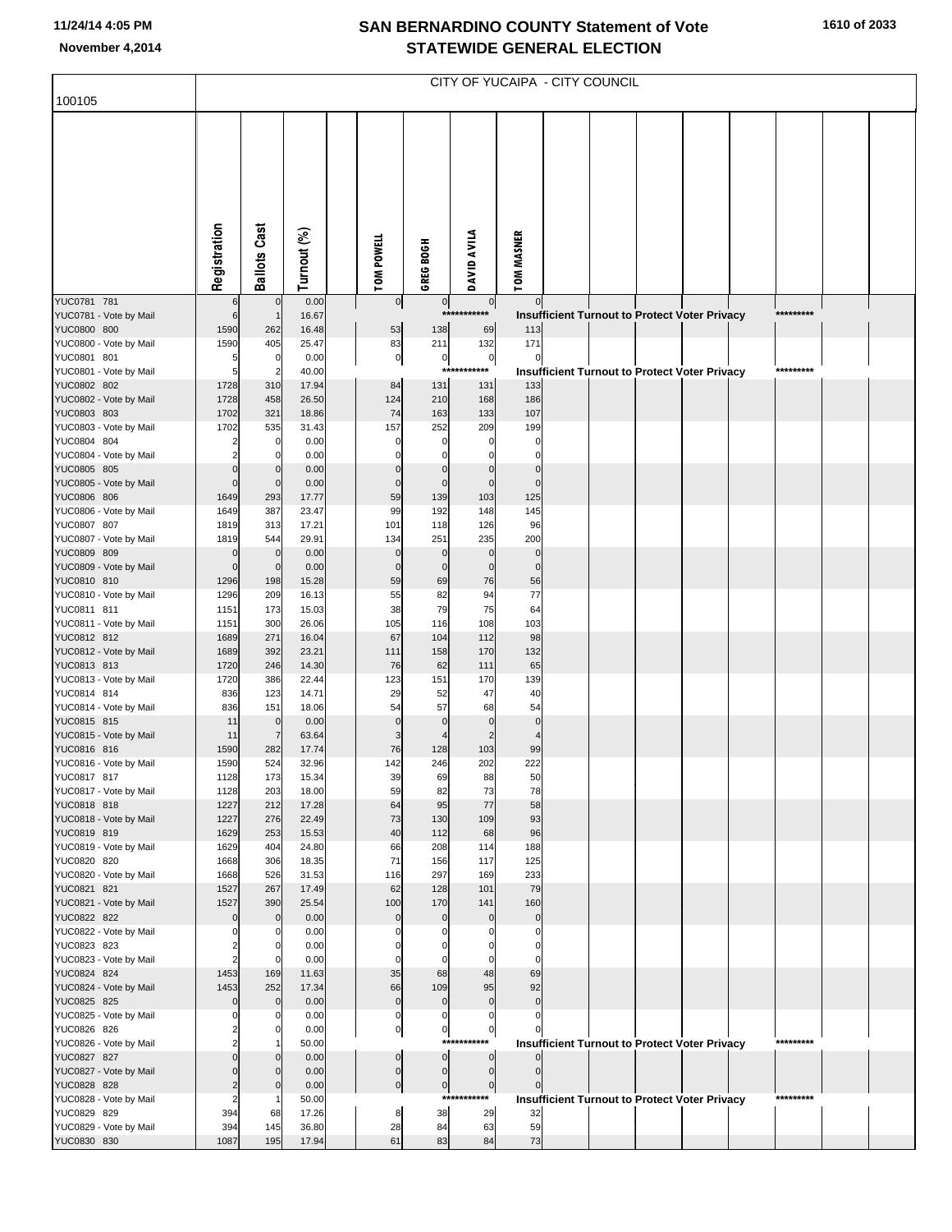## **SAN BERNARDINO COUNTY Statement of Vote November 4,2014 STATEWIDE GENERAL ELECTION**

| 100105                                | CITY OF YUCAIPA - CITY COUNCIL |                            |                |  |                         |                                  |                            |                         |  |  |                                                      |  |  |           |  |
|---------------------------------------|--------------------------------|----------------------------|----------------|--|-------------------------|----------------------------------|----------------------------|-------------------------|--|--|------------------------------------------------------|--|--|-----------|--|
|                                       |                                |                            |                |  |                         |                                  |                            |                         |  |  |                                                      |  |  |           |  |
|                                       |                                |                            |                |  |                         |                                  |                            |                         |  |  |                                                      |  |  |           |  |
|                                       | Registration                   | <b>Ballots Cast</b>        | Turnout (%)    |  | TOM POWELL              | GREG BOGH                        | DAVID AVILA                | TOM MASNER              |  |  |                                                      |  |  |           |  |
| YUC0781 781                           | 6                              | $\mathbf 0$                | 0.00           |  | $\overline{0}$          | 0                                | $\overline{0}$             | $\mathbf 0$             |  |  |                                                      |  |  |           |  |
| YUC0781 - Vote by Mail                | 6                              | $\mathbf{1}$               | 16.67          |  |                         | $***$                            | ******                     |                         |  |  | <b>Insufficient Turnout to Protect Voter Privacy</b> |  |  | ********* |  |
| YUC0800 800                           | 1590                           | 262                        | 16.48          |  | 53                      | 138                              | 69                         | 113                     |  |  |                                                      |  |  |           |  |
| YUC0800 - Vote by Mail                | 1590                           | 405<br>$\mathbf 0$         | 25.47          |  | 83                      | 211                              | 132<br>$\pmb{0}$           | 171<br>$\mathbf 0$      |  |  |                                                      |  |  |           |  |
| YUC0801 801<br>YUC0801 - Vote by Mail | 5<br>5                         | $\overline{2}$             | 0.00<br>40.00  |  | $\mathbf 0$             | $\pmb{0}$                        | ***********                |                         |  |  | <b>Insufficient Turnout to Protect Voter Privacy</b> |  |  | ********* |  |
| YUC0802 802                           | 1728                           | 310                        | 17.94          |  | 84                      | 131                              | 131                        | 133                     |  |  |                                                      |  |  |           |  |
| YUC0802 - Vote by Mail                | 1728                           | 458                        | 26.50          |  | 124                     | 210                              | 168                        | 186                     |  |  |                                                      |  |  |           |  |
| YUC0803 803                           | 1702                           | 321                        | 18.86          |  | 74                      | 163                              | 133                        | 107                     |  |  |                                                      |  |  |           |  |
| YUC0803 - Vote by Mail<br>YUC0804 804 | 1702<br>2                      | 535<br>0                   | 31.43<br>0.00  |  | 157<br>0                | 252<br>$\mathbf 0$               | 209<br>$\mathsf{C}$        | 199<br>0                |  |  |                                                      |  |  |           |  |
| YUC0804 - Vote by Mail                | 2                              | 0                          | 0.00           |  | 0                       | $\Omega$                         |                            | $\Omega$                |  |  |                                                      |  |  |           |  |
| YUC0805 805                           | $\mathbf 0$                    | $\mathbf 0$                | 0.00           |  | $\mathbf 0$             | $\mathbf 0$                      | $\mathbf 0$                | $\mathbf 0$             |  |  |                                                      |  |  |           |  |
| YUC0805 - Vote by Mail                | $\mathbf 0$                    | $\mathbf 0$                | 0.00           |  | $\mathbf 0$             | $\mathbf 0$                      | $\mathbf 0$                | $\mathbf 0$             |  |  |                                                      |  |  |           |  |
| YUC0806 806<br>YUC0806 - Vote by Mail | 1649<br>1649                   | 293<br>387                 | 17.77<br>23.47 |  | 59<br>99                | 139<br>192                       | 103<br>148                 | 125<br>145              |  |  |                                                      |  |  |           |  |
| YUC0807 807                           | 1819                           | 313                        | 17.21          |  | 101                     | 118                              | 126                        | 96                      |  |  |                                                      |  |  |           |  |
| YUC0807 - Vote by Mail                | 1819                           | 544                        | 29.91          |  | 134                     | 251                              | 235                        | 200                     |  |  |                                                      |  |  |           |  |
| YUC0809 809                           | $\mathbf 0$                    | $\mathbf 0$                | 0.00           |  | $\mathbf 0$             | $\mathbf 0$                      | $\mathbf 0$                | $\mathbf 0$             |  |  |                                                      |  |  |           |  |
| YUC0809 - Vote by Mail<br>YUC0810 810 | $\mathbf 0$<br>1296            | $\mathbf 0$<br>198         | 0.00<br>15.28  |  | $\mathbf 0$<br>59       | $\mathbf 0$<br>69                | $\mathbf 0$<br>76          | $\mathbf 0$<br>56       |  |  |                                                      |  |  |           |  |
| YUC0810 - Vote by Mail                | 1296                           | 209                        | 16.13          |  | 55                      | 82                               | 94                         | 77                      |  |  |                                                      |  |  |           |  |
| YUC0811 811                           | 1151                           | 173                        | 15.03          |  | 38                      | 79                               | 75                         | 64                      |  |  |                                                      |  |  |           |  |
| YUC0811 - Vote by Mail                | 1151                           | 300                        | 26.06          |  | 105                     | 116                              | 108                        | 103                     |  |  |                                                      |  |  |           |  |
| YUC0812 812<br>YUC0812 - Vote by Mail | 1689<br>1689                   | 271<br>392                 | 16.04<br>23.21 |  | 67<br>111               | 104<br>158                       | 112<br>170                 | 98<br>132               |  |  |                                                      |  |  |           |  |
| YUC0813 813                           | 1720                           | 246                        | 14.30          |  | 76                      | 62                               | 111                        | 65                      |  |  |                                                      |  |  |           |  |
| YUC0813 - Vote by Mail                | 1720                           | 386                        | 22.44          |  | 123                     | 151                              | 170                        | 139                     |  |  |                                                      |  |  |           |  |
| YUC0814 814                           | 836                            | 123                        | 14.71          |  | 29                      | 52                               | 47                         | 40                      |  |  |                                                      |  |  |           |  |
| YUC0814 - Vote by Mail<br>YUC0815 815 | 836<br>11                      | 151<br>$\mathbf 0$         | 18.06<br>0.00  |  | 54<br>$\mathbf 0$       | 57<br>$\mathbf 0$                | 68<br>$\Omega$             | 54<br>$\mathbf 0$       |  |  |                                                      |  |  |           |  |
| YUC0815 - Vote by Mail                | 11                             | $\overline{7}$             | 63.64          |  | 3                       |                                  | $\overline{2}$             | $\overline{4}$          |  |  |                                                      |  |  |           |  |
| YUC0816 816                           | 1590                           | 282                        | 17.74          |  | 76                      | 128                              | 103                        | 99                      |  |  |                                                      |  |  |           |  |
| YUC0816 - Vote by Mail                | 1590                           | 524                        | 32.96          |  | 142                     | 246                              | 202                        | 222                     |  |  |                                                      |  |  |           |  |
| YUC0817 817<br>YUC0817 - Vote by Mail | 1128<br>1128                   | 173<br>203                 | 15.34<br>18.00 |  | 39<br>59                | 69<br>82                         | 88<br>73                   | 50<br>78                |  |  |                                                      |  |  |           |  |
| YUC0818 818                           | 1227                           | 212                        | 17.28          |  | 64                      | 95                               | 77                         | 58                      |  |  |                                                      |  |  |           |  |
| YUC0818 - Vote by Mail                | 1227                           | 276                        | 22.49          |  | 73                      | 130                              | 109                        | 93                      |  |  |                                                      |  |  |           |  |
| YUC0819 819                           | 1629                           | 253                        | 15.53          |  | 40                      | 112                              | 68                         | 96                      |  |  |                                                      |  |  |           |  |
| YUC0819 - Vote by Mail<br>YUC0820 820 | 1629<br>1668                   | 404<br>306                 | 24.80<br>18.35 |  | 66<br>71                | 208<br>156                       | 114<br>117                 | 188<br>125              |  |  |                                                      |  |  |           |  |
| YUC0820 - Vote by Mail                | 1668                           | 526                        | 31.53          |  | 116                     | 297                              | 169                        | 233                     |  |  |                                                      |  |  |           |  |
| YUC0821 821                           | 1527                           | 267                        | 17.49          |  | 62                      | 128                              | 101                        | 79                      |  |  |                                                      |  |  |           |  |
| YUC0821 - Vote by Mail                | 1527                           | 390                        | 25.54          |  | 100                     | 170                              | 141                        | 160                     |  |  |                                                      |  |  |           |  |
| YUC0822 822<br>YUC0822 - Vote by Mail | 0<br>0                         | $\mathbf{0}$<br>0          | 0.00<br>0.00   |  | $\mathbf 0$<br>$\Omega$ | $\mathbf 0$<br>0                 | $\mathcal{C}$              | $\mathbf 0$<br>$\Omega$ |  |  |                                                      |  |  |           |  |
| YUC0823 823                           | 2                              | 0                          | 0.00           |  | 0                       | $\Omega$                         | C                          | $\mathbf 0$             |  |  |                                                      |  |  |           |  |
| YUC0823 - Vote by Mail                | 2                              | $\Omega$                   | 0.00           |  | 0                       | 0                                | C                          | $\Omega$                |  |  |                                                      |  |  |           |  |
| YUC0824 824                           | 1453                           | 169                        | 11.63          |  | 35                      | 68                               | 48                         | 69                      |  |  |                                                      |  |  |           |  |
| YUC0824 - Vote by Mail<br>YUC0825 825 | 1453<br>0                      | 252<br>$\mathbf{0}$        | 17.34<br>0.00  |  | 66<br>$\mathbf 0$       | 109<br>$\mathbf 0$               | 95<br>$\mathbf 0$          | 92<br>$\mathbf 0$       |  |  |                                                      |  |  |           |  |
| YUC0825 - Vote by Mail                | 0                              | 0                          | 0.00           |  | 0                       | 0                                | $\Omega$                   | $\mathbf 0$             |  |  |                                                      |  |  |           |  |
| YUC0826 826                           | 2                              | 0                          | 0.00           |  | $\mathbf 0$             | $\overline{0}$                   | $\boldsymbol{0}$           |                         |  |  |                                                      |  |  |           |  |
| YUC0826 - Vote by Mail                | $\overline{2}$                 |                            | 50.00          |  |                         |                                  | ***********                |                         |  |  | <b>Insufficient Turnout to Protect Voter Privacy</b> |  |  | ********* |  |
| YUC0827 827<br>YUC0827 - Vote by Mail | $\Omega$<br>0                  | $\mathbf 0$<br>$\mathbf 0$ | 0.00<br>0.00   |  | $\bf{0}$<br>$\pmb{0}$   | $\overline{0}$<br>$\overline{0}$ | $\mathbf 0$<br>$\mathbf 0$ | $\mathbf 0$             |  |  |                                                      |  |  |           |  |
| YUC0828 828                           | 2                              | $\mathbf{0}$               | 0.00           |  | $\pmb{0}$               | $\overline{0}$                   | $\pmb{0}$                  |                         |  |  |                                                      |  |  |           |  |
| YUC0828 - Vote by Mail                | 2                              |                            | 50.00          |  |                         |                                  | ***********                |                         |  |  | <b>Insufficient Turnout to Protect Voter Privacy</b> |  |  | ********* |  |
| YUC0829 829                           | 394                            | 68                         | 17.26          |  | 8                       | 38                               | 29                         | 32                      |  |  |                                                      |  |  |           |  |
| YUC0829 - Vote by Mail<br>YUC0830 830 | 394<br>1087                    | 145<br>195                 | 36.80<br>17.94 |  | 28<br>61                | 84<br>83                         | 63<br>84                   | 59<br>73                |  |  |                                                      |  |  |           |  |
|                                       |                                |                            |                |  |                         |                                  |                            |                         |  |  |                                                      |  |  |           |  |